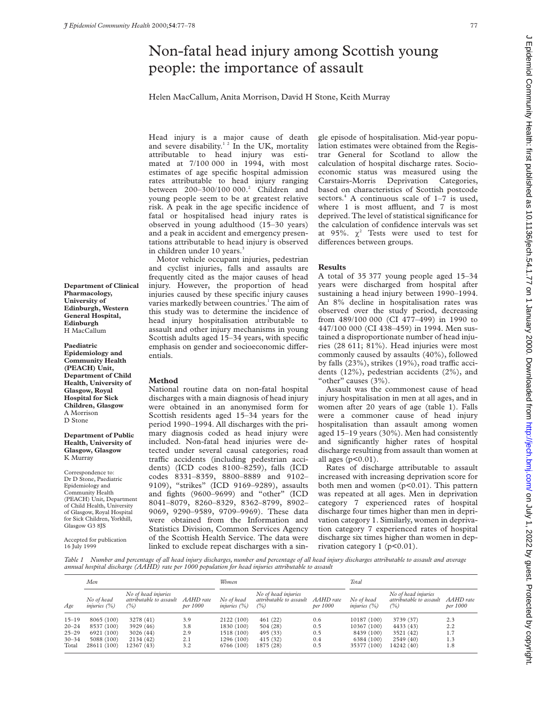## Non-fatal head injury among Scottish young people: the importance of assault

Helen MacCallum, Anita Morrison, David H Stone, Keith Murray

Head injury is a major cause of death and severe disability.<sup>12</sup> In the UK, mortality attributable to head injury was estimated at 7/100 000 in 1994, with most estimates of age specific hospital admission rates attributable to head injury ranging between 200-300/100 000.<sup>2</sup> Children and young people seem to be at greatest relative risk. A peak in the age specific incidence of fatal or hospitalised head injury rates is observed in young adulthood (15–30 years) and a peak in accident and emergency presentations attributable to head injury is observed in children under 10 years.<sup>3</sup>

Motor vehicle occupant injuries, pedestrian and cyclist injuries, falls and assaults are frequently cited as the major causes of head injury. However, the proportion of head injuries caused by these specific injury causes varies markedly between countries.<sup>1</sup> The aim of this study was to determine the incidence of head injury hospitalisation attributable to assault and other injury mechanisms in young Scottish adults aged 15–34 years, with specific emphasis on gender and socioeconomic differentials.

## **Method**

National routine data on non-fatal hospital discharges with a main diagnosis of head injury were obtained in an anonymised form for Scottish residents aged 15–34 years for the period 1990–1994. All discharges with the primary diagnosis coded as head injury were included. Non-fatal head injuries were detected under several causal categories; road traffic accidents (including pedestrian accidents) (ICD codes 8100–8259), falls (ICD codes 8331–8359, 8800–8889 and 9102– 9109), "strikes" (ICD 9169–9289), assaults and fights (9600–9699) and "other" (ICD 8041–8079, 8260–8329, 8362–8799, 8902– 9069, 9290–9589, 9709–9969). These data were obtained from the Information and Statistics Division, Common Services Agency of the Scottish Health Service. The data were linked to exclude repeat discharges with a single episode of hospitalisation. Mid-year population estimates were obtained from the Registrar General for Scotland to allow the calculation of hospital discharge rates. Socioeconomic status was measured using the Carstairs-Morris Deprivation Categories, based on characteristics of Scottish postcode sectors. $4$  A continuous scale of 1–7 is used, where  $1$  is most affluent, and  $7$  is most deprived. The level of statistical significance for the calculation of confidence intervals was set at 95%.  $\chi^2$  Tests were used to test for differences between groups.

## **Results**

A total of 35 377 young people aged 15–34 years were discharged from hospital after sustaining a head injury between 1990–1994. An 8% decline in hospitalisation rates was observed over the study period, decreasing from 489/100 000 (CI 477–499) in 1990 to 447/100 000 (CI 438–459) in 1994. Men sustained a disproportionate number of head injuries (28 611; 81%). Head injuries were most commonly caused by assaults (40%), followed by falls  $(23\%)$ , strikes  $(19\%)$ , road traffic accidents (12%), pedestrian accidents (2%), and "other" causes (3%).

Assault was the commonest cause of head injury hospitalisation in men at all ages, and in women after 20 years of age (table 1). Falls were a commoner cause of head injury hospitalisation than assault among women aged 15–19 years (30%). Men had consistently and significantly higher rates of hospital discharge resulting from assault than women at all ages  $(p<0.01)$ .

Rates of discharge attributable to assault increased with increasing deprivation score for both men and women (p<0.01). This pattern was repeated at all ages. Men in deprivation category 7 experienced rates of hospital discharge four times higher than men in deprivation category 1. Similarly, women in deprivation category 7 experienced rates of hospital discharge six times higher than women in deprivation category 1 ( $p<0.01$ ).

*Table 1 Number and percentage of all head injury discharges, number and percentage of all head injury discharges attributable to assault and average annual hospital discharge (AAHD) rate per 1000 population for head injuries attributable to assault*

| Age       | Men                               |                                                       |                       | Women                                |                                                       |                       | Total                                |                                                       |                       |
|-----------|-----------------------------------|-------------------------------------------------------|-----------------------|--------------------------------------|-------------------------------------------------------|-----------------------|--------------------------------------|-------------------------------------------------------|-----------------------|
|           | No of head<br><i>injuries</i> (%) | No of head injuries<br>attributable to assault<br>(%) | AAHD rate<br>per 1000 | No of head<br><i>injuries</i> $(\%)$ | No of head injuries<br>attributable to assault<br>(%) | AAHD rate<br>per 1000 | No of head<br><i>injuries</i> $(\%)$ | No of head injuries<br>attributable to assault<br>(%) | AAHD rate<br>per 1000 |
| $15 - 19$ | 8065 (100)                        | 3278 (41)                                             | 3.9                   | 2122 (100)                           | 461 (22)                                              | 0.6                   | 10187 (100)                          | 3739 (37)                                             | 2.3                   |
| $20 - 24$ | 8537 (100)                        | 3929 (46)                                             | 3.8                   | 1830 (100)                           | 504 (28)                                              | 0.5                   | 10367 (100)                          | 4433 (43)                                             | 2.2                   |
| $25 - 29$ | 6921 (100)                        | 3026 (44)                                             | 2.9                   | 1518 (100)                           | 495 (33)                                              | 0.5                   | 8439 (100)                           | 3521 (42)                                             | 1.7                   |
| $30 - 34$ | 5088 (100)                        | 2134 (42)                                             | 2.1                   | 1296 (100)                           | 415(32)                                               | 0.4                   | 6384 (100)                           | 2549 (40)                                             | 1.3                   |
| Total     | 28611 (100)                       | 12367 (43)                                            | 3.2                   | 6766 (100)                           | 1875 (28)                                             | 0.5                   | 35377 (100)                          | 14242 (40)                                            | 1.8                   |

**Department of Clinical Pharmacology, University of Edinburgh, Western General Hospital, Edinburgh** H MacCallum

**Paediatric Epidemiology and Community Health (PEACH) Unit, Department of Child Health, University of Glasgow, Royal Hospital for Sick Children, Glasgow** A Morrison D Stone

**Department of Public Health, University of Glasgow, Glasgow** K Murray

Correspondence to: Dr D Stone, Paediatric Epidemiology and Community Health (PEACH) Unit, Department of Child Health, University of Glasgow, Royal Hospital for Sick Children, Yorkhill, Glasgow G3 8JS

Accepted for publication 16 July 1999